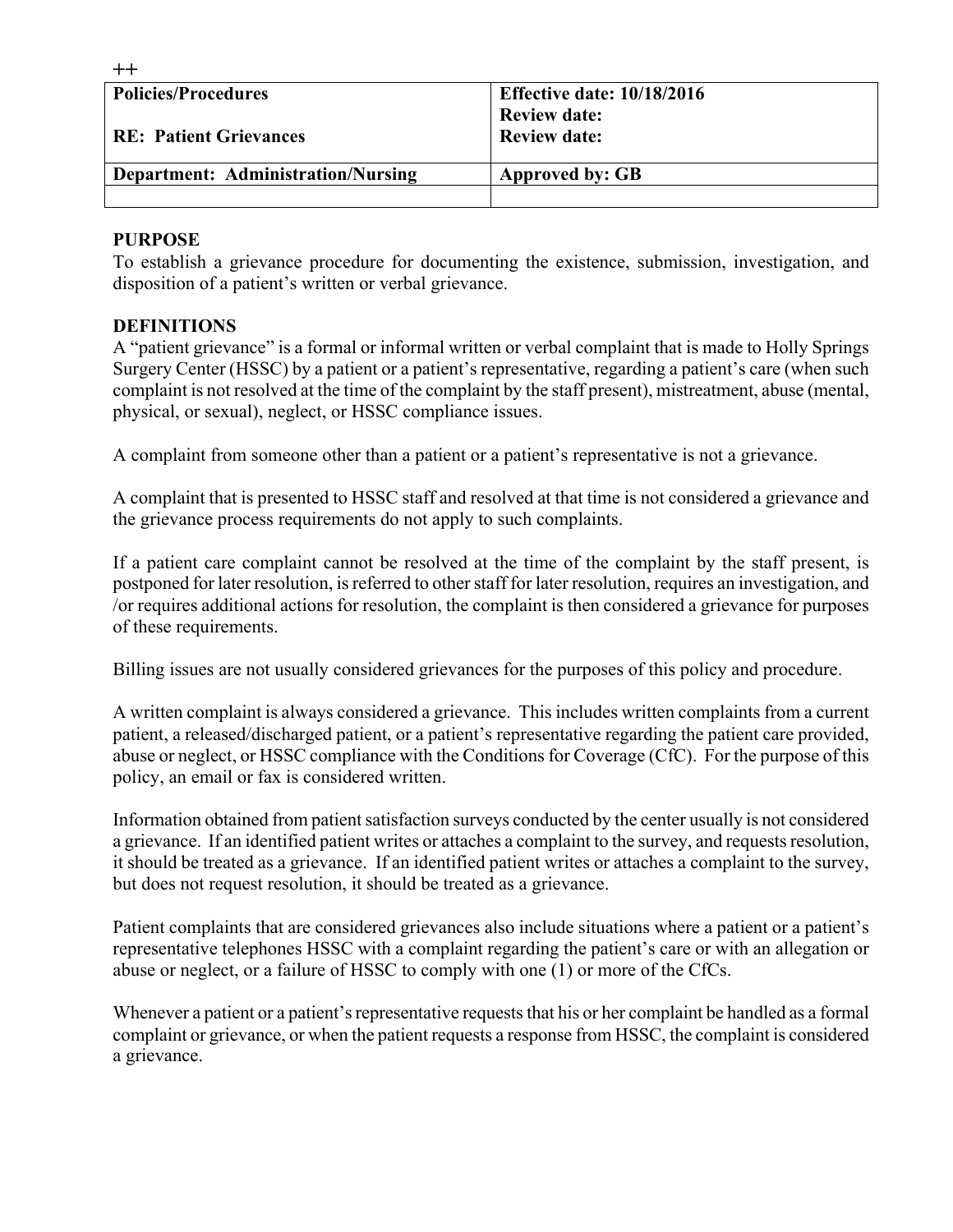| <b>Policies/Procedures</b>                | <b>Effective date: 10/18/2016</b> |  |
|-------------------------------------------|-----------------------------------|--|
|                                           | <b>Review date:</b>               |  |
| <b>RE: Patient Grievances</b>             | <b>Review date:</b>               |  |
|                                           |                                   |  |
| <b>Department: Administration/Nursing</b> | Approved by: GB                   |  |
|                                           |                                   |  |

#### **PURPOSE**

**++**

To establish a grievance procedure for documenting the existence, submission, investigation, and disposition of a patient's written or verbal grievance.

#### **DEFINITIONS**

A "patient grievance" is a formal or informal written or verbal complaint that is made to Holly Springs Surgery Center (HSSC) by a patient or a patient's representative, regarding a patient's care (when such complaint is not resolved at the time of the complaint by the staff present), mistreatment, abuse (mental, physical, or sexual), neglect, or HSSC compliance issues.

A complaint from someone other than a patient or a patient's representative is not a grievance.

A complaint that is presented to HSSC staff and resolved at that time is not considered a grievance and the grievance process requirements do not apply to such complaints.

If a patient care complaint cannot be resolved at the time of the complaint by the staff present, is postponed for later resolution, is referred to other staff for later resolution, requires an investigation, and /or requires additional actions for resolution, the complaint is then considered a grievance for purposes of these requirements.

Billing issues are not usually considered grievances for the purposes of this policy and procedure.

A written complaint is always considered a grievance. This includes written complaints from a current patient, a released/discharged patient, or a patient's representative regarding the patient care provided, abuse or neglect, or HSSC compliance with the Conditions for Coverage (CfC). For the purpose of this policy, an email or fax is considered written.

Information obtained from patient satisfaction surveys conducted by the center usually is not considered a grievance. If an identified patient writes or attaches a complaint to the survey, and requests resolution, it should be treated as a grievance. If an identified patient writes or attaches a complaint to the survey, but does not request resolution, it should be treated as a grievance.

Patient complaints that are considered grievances also include situations where a patient or a patient's representative telephones HSSC with a complaint regarding the patient's care or with an allegation or abuse or neglect, or a failure of HSSC to comply with one (1) or more of the CfCs.

Whenever a patient or a patient's representative requests that his or her complaint be handled as a formal complaint or grievance, or when the patient requests a response from HSSC, the complaint is considered a grievance.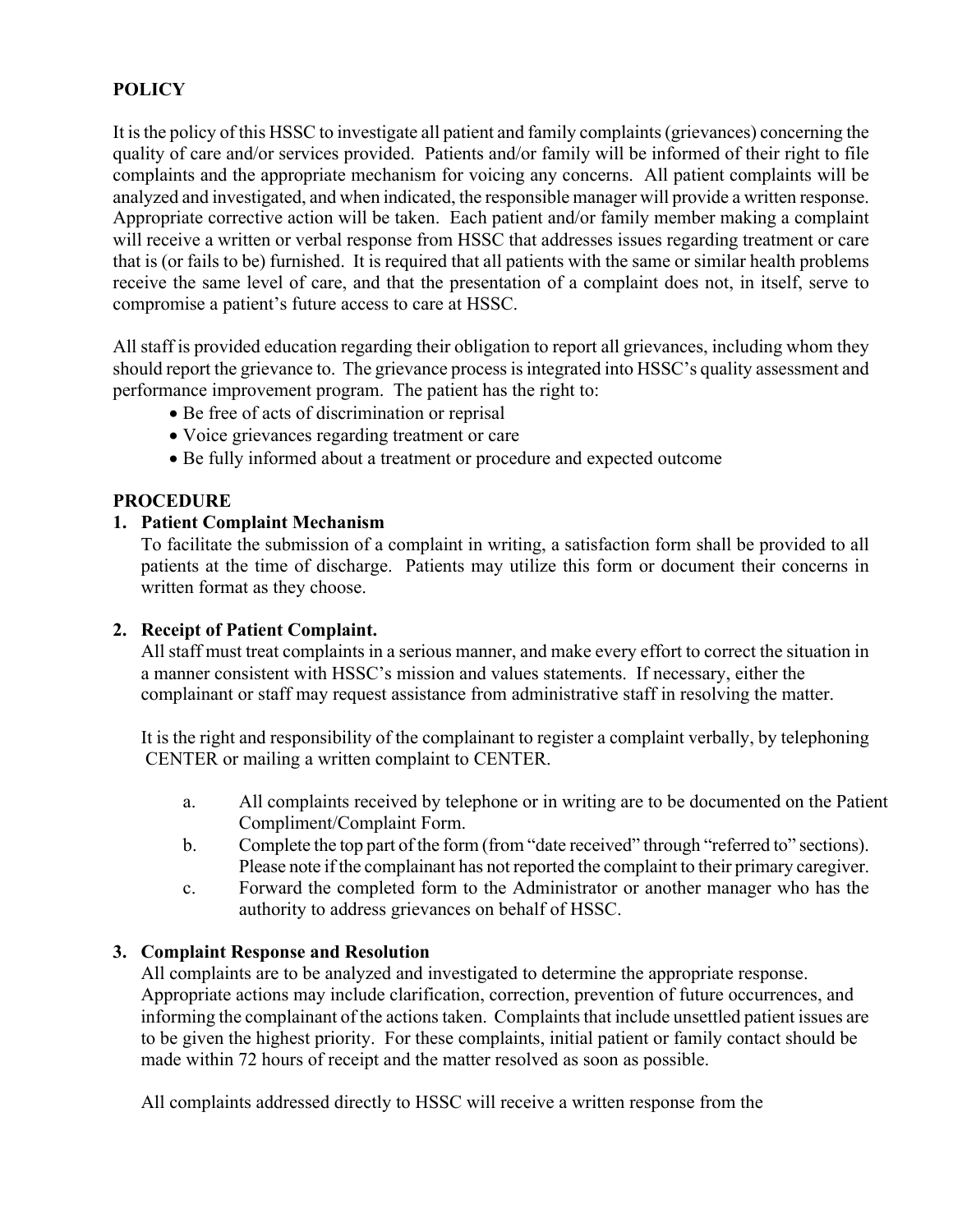## **POLICY**

It is the policy of this HSSC to investigate all patient and family complaints (grievances) concerning the quality of care and/or services provided. Patients and/or family will be informed of their right to file complaints and the appropriate mechanism for voicing any concerns. All patient complaints will be analyzed and investigated, and when indicated, the responsible manager will provide a written response. Appropriate corrective action will be taken. Each patient and/or family member making a complaint will receive a written or verbal response from HSSC that addresses issues regarding treatment or care that is (or fails to be) furnished. It is required that all patients with the same or similar health problems receive the same level of care, and that the presentation of a complaint does not, in itself, serve to compromise a patient's future access to care at HSSC.

All staff is provided education regarding their obligation to report all grievances, including whom they should report the grievance to. The grievance process is integrated into HSSC's quality assessment and performance improvement program. The patient has the right to:

- Be free of acts of discrimination or reprisal
- Voice grievances regarding treatment or care
- Be fully informed about a treatment or procedure and expected outcome

#### **PROCEDURE**

#### **1. Patient Complaint Mechanism**

To facilitate the submission of a complaint in writing, a satisfaction form shall be provided to all patients at the time of discharge. Patients may utilize this form or document their concerns in written format as they choose.

#### **2. Receipt of Patient Complaint.**

All staff must treat complaints in a serious manner, and make every effort to correct the situation in a manner consistent with HSSC's mission and values statements. If necessary, either the complainant or staff may request assistance from administrative staff in resolving the matter.

It is the right and responsibility of the complainant to register a complaint verbally, by telephoning CENTER or mailing a written complaint to CENTER.

- a. All complaints received by telephone or in writing are to be documented on the Patient Compliment/Complaint Form.
- b. Complete the top part of the form (from "date received" through "referred to" sections). Please note if the complainant has not reported the complaint to their primary caregiver.
- c. Forward the completed form to the Administrator or another manager who has the authority to address grievances on behalf of HSSC.

#### **3. Complaint Response and Resolution**

All complaints are to be analyzed and investigated to determine the appropriate response. Appropriate actions may include clarification, correction, prevention of future occurrences, and informing the complainant of the actions taken. Complaints that include unsettled patient issues are to be given the highest priority. For these complaints, initial patient or family contact should be made within 72 hours of receipt and the matter resolved as soon as possible.

All complaints addressed directly to HSSC will receive a written response from the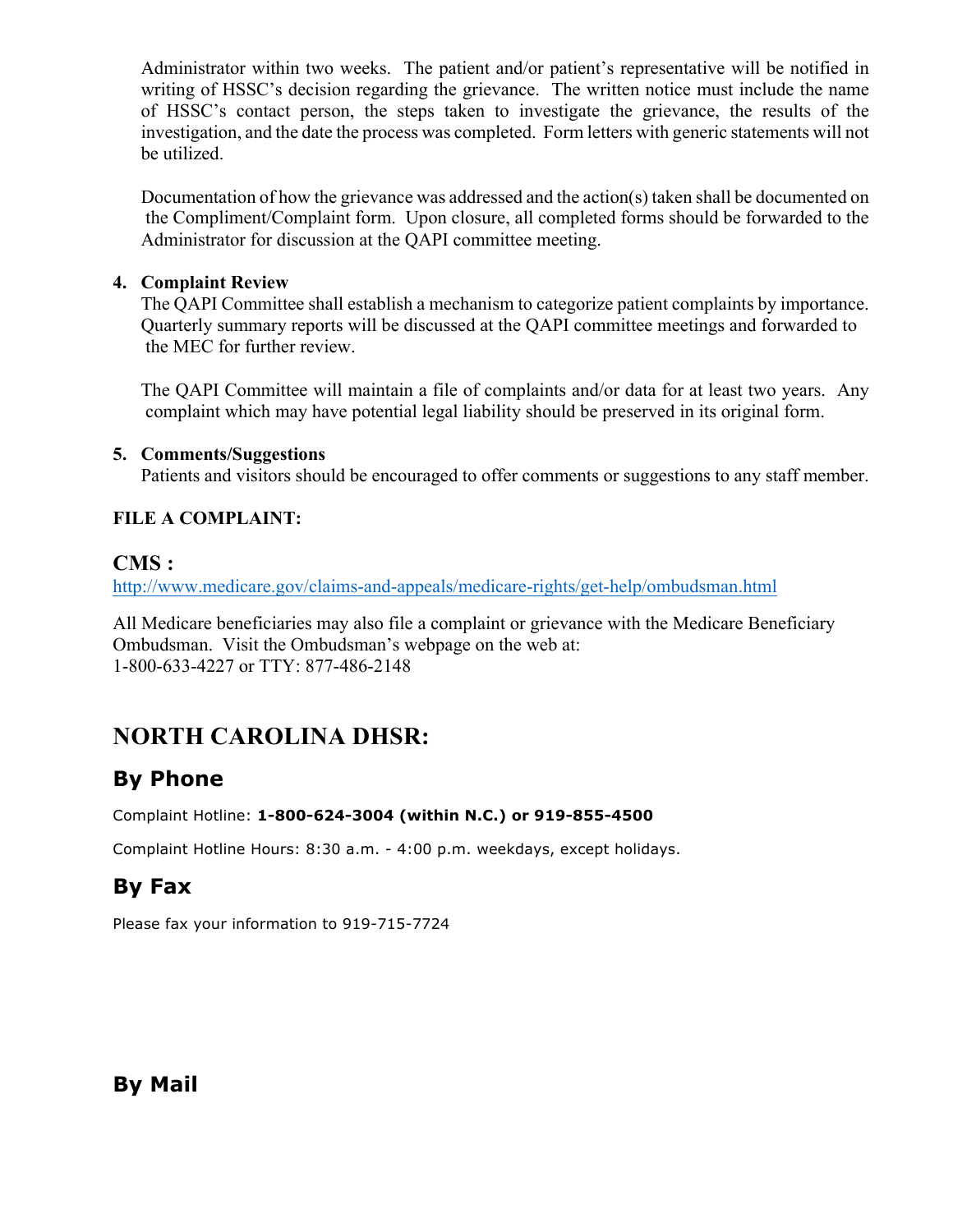Administrator within two weeks. The patient and/or patient's representative will be notified in writing of HSSC's decision regarding the grievance. The written notice must include the name of HSSC's contact person, the steps taken to investigate the grievance, the results of the investigation, and the date the process was completed. Form letters with generic statements will not be utilized.

Documentation of how the grievance was addressed and the action(s) taken shall be documented on the Compliment/Complaint form. Upon closure, all completed forms should be forwarded to the Administrator for discussion at the QAPI committee meeting.

#### **4. Complaint Review**

 The QAPI Committee shall establish a mechanism to categorize patient complaints by importance. Quarterly summary reports will be discussed at the QAPI committee meetings and forwarded to the MEC for further review.

The QAPI Committee will maintain a file of complaints and/or data for at least two years. Any complaint which may have potential legal liability should be preserved in its original form.

#### **5. Comments/Suggestions**

Patients and visitors should be encouraged to offer comments or suggestions to any staff member.

### **FILE A COMPLAINT:**

### **CMS :**

http://www.medicare.gov/claims-and-appeals/medicare-rights/get-help/ombudsman.html

All Medicare beneficiaries may also file a complaint or grievance with the Medicare Beneficiary Ombudsman. Visit the Ombudsman's webpage on the web at: 1-800-633-4227 or TTY: 877-486-2148

# **NORTH CAROLINA DHSR:**

# **By Phone**

#### Complaint Hotline: **1-800-624-3004 (within N.C.) or 919-855-4500**

Complaint Hotline Hours: 8:30 a.m. - 4:00 p.m. weekdays, except holidays.

# **By Fax**

Please fax your information to 919-715-7724